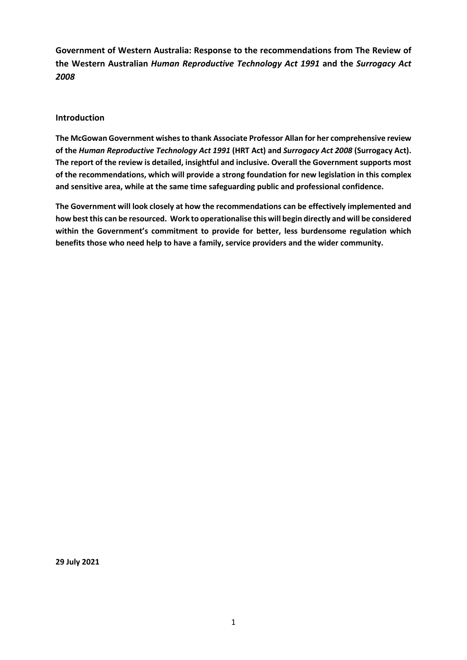**Government of Western Australia: Response to the recommendations from The Review of the Western Australian** *Human Reproductive Technology Act 1991* **and the** *Surrogacy Act 2008*

## **Introduction**

**The McGowan Government wishes to thank Associate Professor Allan for her comprehensive review of the** *Human Reproductive Technology Act 1991* **(HRT Act) and** *Surrogacy Act 2008* **(Surrogacy Act). The report of the review is detailed, insightful and inclusive. Overall the Government supports most of the recommendations, which will provide a strong foundation for new legislation in this complex and sensitive area, while at the same time safeguarding public and professional confidence.**

**The Government will look closely at how the recommendations can be effectively implemented and how best this can be resourced. Work to operationalise this will begin directly and will be considered within the Government's commitment to provide for better, less burdensome regulation which benefits those who need help to have a family, service providers and the wider community.**

**29 July 2021**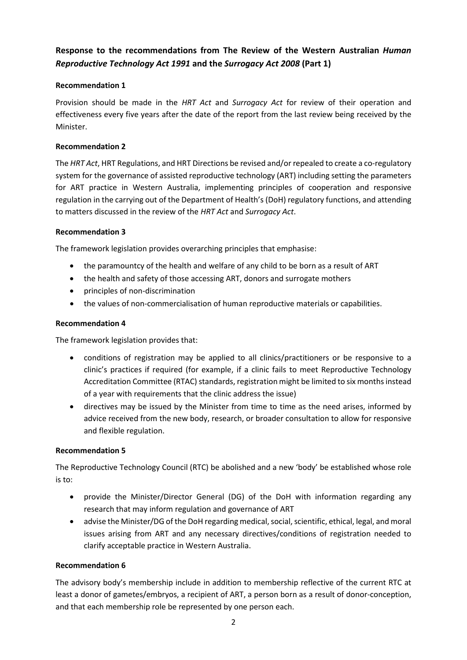# **Response to the recommendations from The Review of the Western Australian** *Human Reproductive Technology Act 1991* **and the** *Surrogacy Act 2008* **(Part 1)**

# **Recommendation 1**

Provision should be made in the *HRT Act* and *Surrogacy Act* for review of their operation and effectiveness every five years after the date of the report from the last review being received by the Minister.

# **Recommendation 2**

The *HRT Act*, HRT Regulations, and HRT Directions be revised and/or repealed to create a co-regulatory system for the governance of assisted reproductive technology (ART) including setting the parameters for ART practice in Western Australia, implementing principles of cooperation and responsive regulation in the carrying out of the Department of Health's (DoH) regulatory functions, and attending to matters discussed in the review of the *HRT Act* and *Surrogacy Act*.

# **Recommendation 3**

The framework legislation provides overarching principles that emphasise:

- the paramountcy of the health and welfare of any child to be born as a result of ART
- the health and safety of those accessing ART, donors and surrogate mothers
- principles of non-discrimination
- the values of non-commercialisation of human reproductive materials or capabilities.

# **Recommendation 4**

The framework legislation provides that:

- conditions of registration may be applied to all clinics/practitioners or be responsive to a clinic's practices if required (for example, if a clinic fails to meet Reproductive Technology Accreditation Committee (RTAC) standards, registration might be limited to six months instead of a year with requirements that the clinic address the issue)
- directives may be issued by the Minister from time to time as the need arises, informed by advice received from the new body, research, or broader consultation to allow for responsive and flexible regulation.

# **Recommendation 5**

The Reproductive Technology Council (RTC) be abolished and a new 'body' be established whose role is to:

- provide the Minister/Director General (DG) of the DoH with information regarding any research that may inform regulation and governance of ART
- advise the Minister/DG of the DoH regarding medical, social, scientific, ethical, legal, and moral issues arising from ART and any necessary directives/conditions of registration needed to clarify acceptable practice in Western Australia.

# **Recommendation 6**

The advisory body's membership include in addition to membership reflective of the current RTC at least a donor of gametes/embryos, a recipient of ART, a person born as a result of donor-conception, and that each membership role be represented by one person each.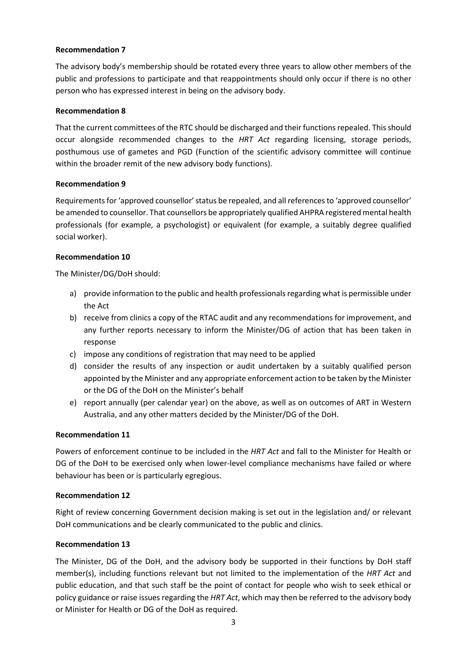The advisory body's membership should be rotated every three years to allow other members of the public and professions to participate and that reappointments should only occur if there is no other person who has expressed interest in being on the advisory body.

### **Recommendation 8**

That the current committees of the RTC should be discharged and their functions repealed. This should occur alongside recommended changes to the *HRT Act* regarding licensing, storage periods, posthumous use of gametes and PGD (Function of the scientific advisory committee will continue within the broader remit of the new advisory body functions).

### **Recommendation 9**

Requirements for 'approved counsellor' status be repealed, and all references to 'approved counsellor' be amended to counsellor. That counsellors be appropriately qualified AHPRA registered mental health professionals (for example, a psychologist) or equivalent (for example, a suitably degree qualified social worker).

### **Recommendation 10**

The Minister/DG/DoH should:

- a) provide information to the public and health professionals regarding what is permissible under the Act
- b) receive from clinics a copy of the RTAC audit and any recommendations for improvement, and any further reports necessary to inform the Minister/DG of action that has been taken in response
- c) impose any conditions of registration that may need to be applied
- d) consider the results of any inspection or audit undertaken by a suitably qualified person appointed by the Minister and any appropriate enforcement action to be taken by the Minister or the DG of the DoH on the Minister's behalf
- e) report annually (per calendar year) on the above, as well as on outcomes of ART in Western Australia, and any other matters decided by the Minister/DG of the DoH.

### **Recommendation 11**

Powers of enforcement continue to be included in the *HRT Act* and fall to the Minister for Health or DG of the DoH to be exercised only when lower-level compliance mechanisms have failed or where behaviour has been or is particularly egregious.

### **Recommendation 12**

Right of review concerning Government decision making is set out in the legislation and/ or relevant DoH communications and be clearly communicated to the public and clinics.

### **Recommendation 13**

The Minister, DG of the DoH, and the advisory body be supported in their functions by DoH staff member(s), including functions relevant but not limited to the implementation of the *HRT Act* and public education, and that such staff be the point of contact for people who wish to seek ethical or policy guidance or raise issues regarding the *HRT Act*, which may then be referred to the advisory body or Minister for Health or DG of the DoH as required.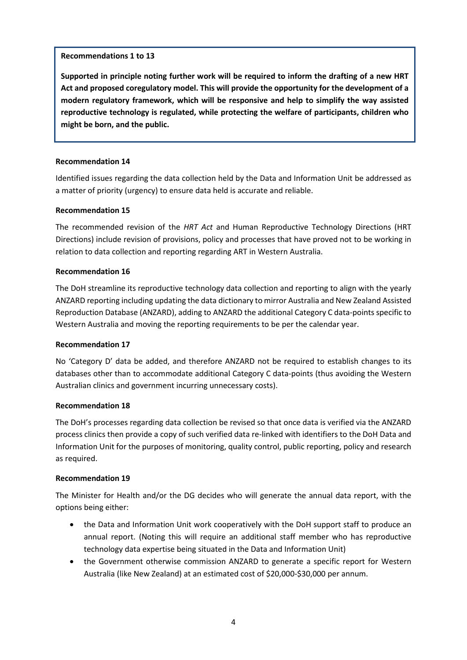## **Recommendations 1 to 13**

**Supported in principle noting further work will be required to inform the drafting of a new HRT Act and proposed coregulatory model. This will provide the opportunity for the development of a modern regulatory framework, which will be responsive and help to simplify the way assisted reproductive technology is regulated, while protecting the welfare of participants, children who might be born, and the public.**

## **Recommendation 14**

Identified issues regarding the data collection held by the Data and Information Unit be addressed as a matter of priority (urgency) to ensure data held is accurate and reliable.

## **Recommendation 15**

The recommended revision of the *HRT Act* and Human Reproductive Technology Directions (HRT Directions) include revision of provisions, policy and processes that have proved not to be working in relation to data collection and reporting regarding ART in Western Australia.

## **Recommendation 16**

The DoH streamline its reproductive technology data collection and reporting to align with the yearly ANZARD reporting including updating the data dictionary to mirror Australia and New Zealand Assisted Reproduction Database (ANZARD), adding to ANZARD the additional Category C data-points specific to Western Australia and moving the reporting requirements to be per the calendar year.

### **Recommendation 17**

No 'Category D' data be added, and therefore ANZARD not be required to establish changes to its databases other than to accommodate additional Category C data-points (thus avoiding the Western Australian clinics and government incurring unnecessary costs).

### **Recommendation 18**

The DoH's processes regarding data collection be revised so that once data is verified via the ANZARD process clinics then provide a copy of such verified data re-linked with identifiers to the DoH Data and Information Unit for the purposes of monitoring, quality control, public reporting, policy and research as required.

### **Recommendation 19**

The Minister for Health and/or the DG decides who will generate the annual data report, with the options being either:

- the Data and Information Unit work cooperatively with the DoH support staff to produce an annual report. (Noting this will require an additional staff member who has reproductive technology data expertise being situated in the Data and Information Unit)
- the Government otherwise commission ANZARD to generate a specific report for Western Australia (like New Zealand) at an estimated cost of \$20,000-\$30,000 per annum.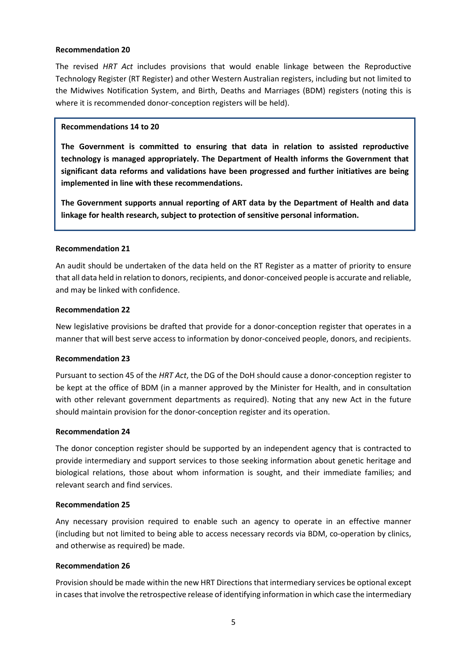The revised *HRT Act* includes provisions that would enable linkage between the Reproductive Technology Register (RT Register) and other Western Australian registers, including but not limited to the Midwives Notification System, and Birth, Deaths and Marriages (BDM) registers (noting this is where it is recommended donor-conception registers will be held).

### **Recommendations 14 to 20**

**The Government is committed to ensuring that data in relation to assisted reproductive technology is managed appropriately. The Department of Health informs the Government that significant data reforms and validations have been progressed and further initiatives are being implemented in line with these recommendations.** 

**The Government supports annual reporting of ART data by the Department of Health and data linkage for health research, subject to protection of sensitive personal information.**

### **Recommendation 21**

An audit should be undertaken of the data held on the RT Register as a matter of priority to ensure that all data held in relation to donors, recipients, and donor-conceived people is accurate and reliable, and may be linked with confidence.

### **Recommendation 22**

New legislative provisions be drafted that provide for a donor-conception register that operates in a manner that will best serve access to information by donor-conceived people, donors, and recipients.

### **Recommendation 23**

Pursuant to section 45 of the *HRT Act*, the DG of the DoH should cause a donor-conception register to be kept at the office of BDM (in a manner approved by the Minister for Health, and in consultation with other relevant government departments as required). Noting that any new Act in the future should maintain provision for the donor-conception register and its operation.

### **Recommendation 24**

The donor conception register should be supported by an independent agency that is contracted to provide intermediary and support services to those seeking information about genetic heritage and biological relations, those about whom information is sought, and their immediate families; and relevant search and find services.

### **Recommendation 25**

Any necessary provision required to enable such an agency to operate in an effective manner (including but not limited to being able to access necessary records via BDM, co-operation by clinics, and otherwise as required) be made.

### **Recommendation 26**

Provision should be made within the new HRT Directions that intermediary services be optional except in cases that involve the retrospective release of identifying information in which case the intermediary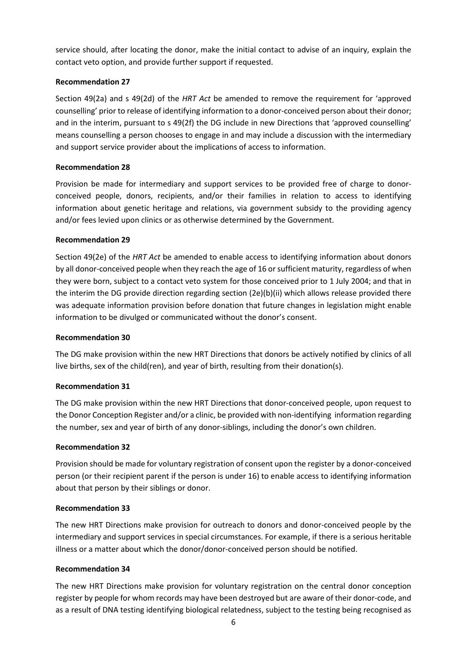service should, after locating the donor, make the initial contact to advise of an inquiry, explain the contact veto option, and provide further support if requested.

# **Recommendation 27**

Section 49(2a) and s 49(2d) of the *HRT Act* be amended to remove the requirement for 'approved counselling' prior to release of identifying information to a donor-conceived person about their donor; and in the interim, pursuant to s 49(2f) the DG include in new Directions that 'approved counselling' means counselling a person chooses to engage in and may include a discussion with the intermediary and support service provider about the implications of access to information.

# **Recommendation 28**

Provision be made for intermediary and support services to be provided free of charge to donorconceived people, donors, recipients, and/or their families in relation to access to identifying information about genetic heritage and relations, via government subsidy to the providing agency and/or fees levied upon clinics or as otherwise determined by the Government.

# **Recommendation 29**

Section 49(2e) of the *HRT Act* be amended to enable access to identifying information about donors by all donor-conceived people when they reach the age of 16 or sufficient maturity, regardless of when they were born, subject to a contact veto system for those conceived prior to 1 July 2004; and that in the interim the DG provide direction regarding section (2e)(b)(ii) which allows release provided there was adequate information provision before donation that future changes in legislation might enable information to be divulged or communicated without the donor's consent.

# **Recommendation 30**

The DG make provision within the new HRT Directions that donors be actively notified by clinics of all live births, sex of the child(ren), and year of birth, resulting from their donation(s).

# **Recommendation 31**

The DG make provision within the new HRT Directions that donor-conceived people, upon request to the Donor Conception Register and/or a clinic, be provided with non-identifying information regarding the number, sex and year of birth of any donor-siblings, including the donor's own children.

# **Recommendation 32**

Provision should be made for voluntary registration of consent upon the register by a donor-conceived person (or their recipient parent if the person is under 16) to enable access to identifying information about that person by their siblings or donor.

# **Recommendation 33**

The new HRT Directions make provision for outreach to donors and donor-conceived people by the intermediary and support services in special circumstances. For example, if there is a serious heritable illness or a matter about which the donor/donor-conceived person should be notified.

# **Recommendation 34**

The new HRT Directions make provision for voluntary registration on the central donor conception register by people for whom records may have been destroyed but are aware of their donor-code, and as a result of DNA testing identifying biological relatedness, subject to the testing being recognised as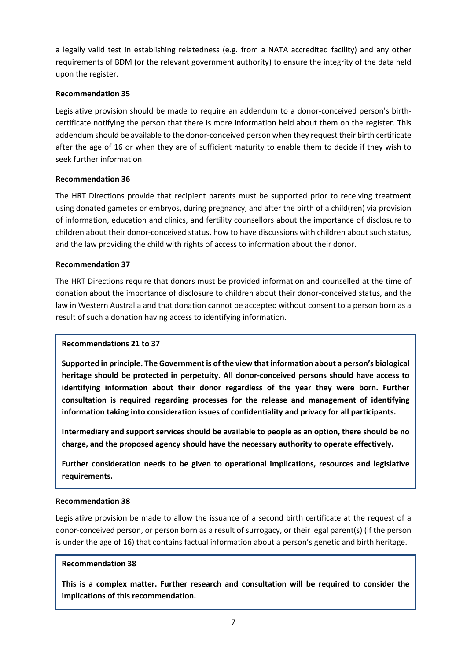a legally valid test in establishing relatedness (e.g. from a NATA accredited facility) and any other requirements of BDM (or the relevant government authority) to ensure the integrity of the data held upon the register.

# **Recommendation 35**

Legislative provision should be made to require an addendum to a donor-conceived person's birthcertificate notifying the person that there is more information held about them on the register. This addendum should be available to the donor-conceived person when they request their birth certificate after the age of 16 or when they are of sufficient maturity to enable them to decide if they wish to seek further information.

# **Recommendation 36**

The HRT Directions provide that recipient parents must be supported prior to receiving treatment using donated gametes or embryos, during pregnancy, and after the birth of a child(ren) via provision of information, education and clinics, and fertility counsellors about the importance of disclosure to children about their donor-conceived status, how to have discussions with children about such status, and the law providing the child with rights of access to information about their donor.

# **Recommendation 37**

The HRT Directions require that donors must be provided information and counselled at the time of donation about the importance of disclosure to children about their donor-conceived status, and the law in Western Australia and that donation cannot be accepted without consent to a person born as a result of such a donation having access to identifying information.

# **Recommendations 21 to 37**

**Supported in principle. The Government is of the view that information about a person's biological heritage should be protected in perpetuity. All donor-conceived persons should have access to identifying information about their donor regardless of the year they were born. Further consultation is required regarding processes for the release and management of identifying information taking into consideration issues of confidentiality and privacy for all participants.**

**Intermediary and support services should be available to people as an option, there should be no charge, and the proposed agency should have the necessary authority to operate effectively.** 

**Further consideration needs to be given to operational implications, resources and legislative requirements.** 

# **Recommendation 38**

Legislative provision be made to allow the issuance of a second birth certificate at the request of a donor-conceived person, or person born as a result of surrogacy, or their legal parent(s) (if the person is under the age of 16) that contains factual information about a person's genetic and birth heritage.

# **Recommendation 38**

**This is a complex matter. Further research and consultation will be required to consider the implications of this recommendation.**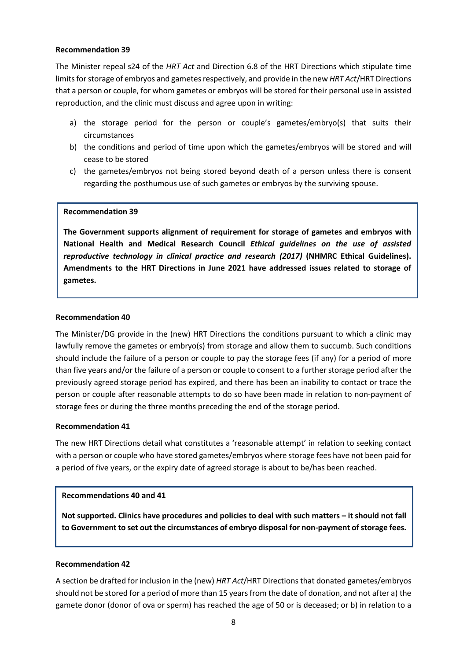The Minister repeal s24 of the *HRT Act* and Direction 6.8 of the HRT Directions which stipulate time limits for storage of embryos and gametes respectively, and provide in the new *HRT Act*/HRT Directions that a person or couple, for whom gametes or embryos will be stored for their personal use in assisted reproduction, and the clinic must discuss and agree upon in writing:

- a) the storage period for the person or couple's gametes/embryo(s) that suits their circumstances
- b) the conditions and period of time upon which the gametes/embryos will be stored and will cease to be stored
- c) the gametes/embryos not being stored beyond death of a person unless there is consent regarding the posthumous use of such gametes or embryos by the surviving spouse.

### **Recommendation 39**

**The Government supports alignment of requirement for storage of gametes and embryos with National Health and Medical Research Council** *Ethical guidelines on the use of assisted reproductive technology in clinical practice and research (2017)* **(NHMRC Ethical Guidelines). Amendments to the HRT Directions in June 2021 have addressed issues related to storage of gametes.**

### **Recommendation 40**

The Minister/DG provide in the (new) HRT Directions the conditions pursuant to which a clinic may lawfully remove the gametes or embryo(s) from storage and allow them to succumb. Such conditions should include the failure of a person or couple to pay the storage fees (if any) for a period of more than five years and/or the failure of a person or couple to consent to a further storage period after the previously agreed storage period has expired, and there has been an inability to contact or trace the person or couple after reasonable attempts to do so have been made in relation to non-payment of storage fees or during the three months preceding the end of the storage period.

### **Recommendation 41**

The new HRT Directions detail what constitutes a 'reasonable attempt' in relation to seeking contact with a person or couple who have stored gametes/embryos where storage fees have not been paid for a period of five years, or the expiry date of agreed storage is about to be/has been reached.

## **Recommendations 40 and 41**

**Not supported. Clinics have procedures and policies to deal with such matters – it should not fall to Government to set out the circumstances of embryo disposal for non-payment of storage fees.**

### **Recommendation 42**

A section be drafted for inclusion in the (new) *HRT Act*/HRT Directions that donated gametes/embryos should not be stored for a period of more than 15 years from the date of donation, and not after a) the gamete donor (donor of ova or sperm) has reached the age of 50 or is deceased; or b) in relation to a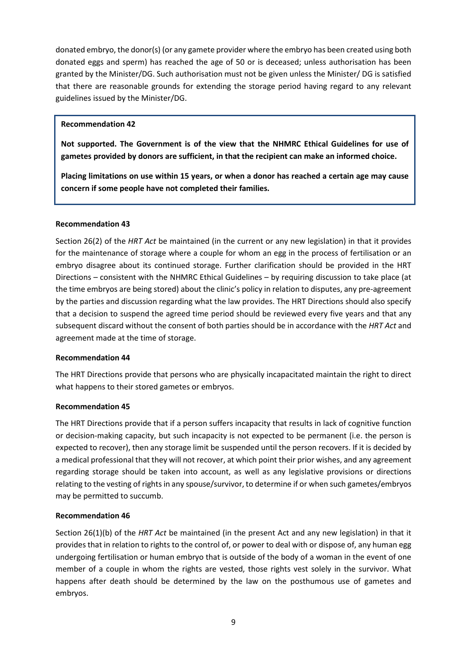donated embryo, the donor(s) (or any gamete provider where the embryo has been created using both donated eggs and sperm) has reached the age of 50 or is deceased; unless authorisation has been granted by the Minister/DG. Such authorisation must not be given unless the Minister/ DG is satisfied that there are reasonable grounds for extending the storage period having regard to any relevant guidelines issued by the Minister/DG.

## **Recommendation 42**

**Not supported. The Government is of the view that the NHMRC Ethical Guidelines for use of gametes provided by donors are sufficient, in that the recipient can make an informed choice.** 

**Placing limitations on use within 15 years, or when a donor has reached a certain age may cause concern if some people have not completed their families.** 

## **Recommendation 43**

Section 26(2) of the *HRT Act* be maintained (in the current or any new legislation) in that it provides for the maintenance of storage where a couple for whom an egg in the process of fertilisation or an embryo disagree about its continued storage. Further clarification should be provided in the HRT Directions – consistent with the NHMRC Ethical Guidelines – by requiring discussion to take place (at the time embryos are being stored) about the clinic's policy in relation to disputes, any pre-agreement by the parties and discussion regarding what the law provides. The HRT Directions should also specify that a decision to suspend the agreed time period should be reviewed every five years and that any subsequent discard without the consent of both parties should be in accordance with the *HRT Act* and agreement made at the time of storage.

### **Recommendation 44**

The HRT Directions provide that persons who are physically incapacitated maintain the right to direct what happens to their stored gametes or embryos.

# **Recommendation 45**

The HRT Directions provide that if a person suffers incapacity that results in lack of cognitive function or decision-making capacity, but such incapacity is not expected to be permanent (i.e. the person is expected to recover), then any storage limit be suspended until the person recovers. If it is decided by a medical professional that they will not recover, at which point their prior wishes, and any agreement regarding storage should be taken into account, as well as any legislative provisions or directions relating to the vesting of rights in any spouse/survivor, to determine if or when such gametes/embryos may be permitted to succumb.

# **Recommendation 46**

Section 26(1)(b) of the *HRT Act* be maintained (in the present Act and any new legislation) in that it provides that in relation to rights to the control of, or power to deal with or dispose of, any human egg undergoing fertilisation or human embryo that is outside of the body of a woman in the event of one member of a couple in whom the rights are vested, those rights vest solely in the survivor. What happens after death should be determined by the law on the posthumous use of gametes and embryos.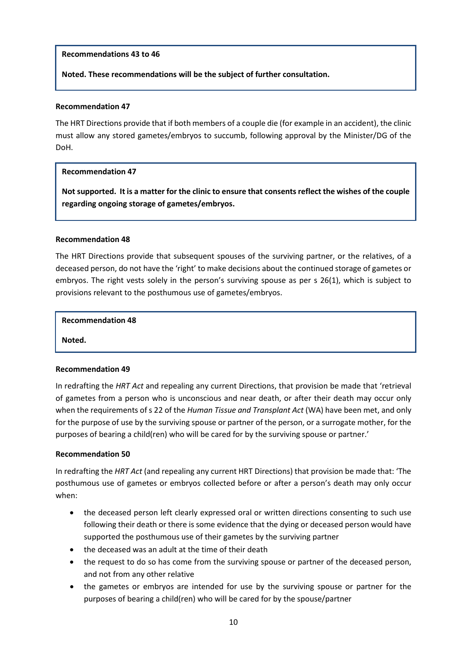## **Recommendations 43 to 46**

**Noted. These recommendations will be the subject of further consultation.**

### **Recommendation 47**

The HRT Directions provide that if both members of a couple die (for example in an accident), the clinic must allow any stored gametes/embryos to succumb, following approval by the Minister/DG of the DoH.

### **Recommendation 47**

**Not supported. It is a matter for the clinic to ensure that consents reflect the wishes of the couple regarding ongoing storage of gametes/embryos.**

### **Recommendation 48**

The HRT Directions provide that subsequent spouses of the surviving partner, or the relatives, of a deceased person, do not have the 'right' to make decisions about the continued storage of gametes or embryos. The right vests solely in the person's surviving spouse as per s 26(1), which is subject to provisions relevant to the posthumous use of gametes/embryos.

### **Recommendation 48**

**Noted.**

### **Recommendation 49**

In redrafting the *HRT Act* and repealing any current Directions, that provision be made that 'retrieval of gametes from a person who is unconscious and near death, or after their death may occur only when the requirements of s 22 of the *Human Tissue and Transplant Act* (WA) have been met, and only for the purpose of use by the surviving spouse or partner of the person, or a surrogate mother, for the purposes of bearing a child(ren) who will be cared for by the surviving spouse or partner.'

### **Recommendation 50**

In redrafting the *HRT Act* (and repealing any current HRT Directions) that provision be made that: 'The posthumous use of gametes or embryos collected before or after a person's death may only occur when:

- the deceased person left clearly expressed oral or written directions consenting to such use following their death or there is some evidence that the dying or deceased person would have supported the posthumous use of their gametes by the surviving partner
- the deceased was an adult at the time of their death
- the request to do so has come from the surviving spouse or partner of the deceased person, and not from any other relative
- the gametes or embryos are intended for use by the surviving spouse or partner for the purposes of bearing a child(ren) who will be cared for by the spouse/partner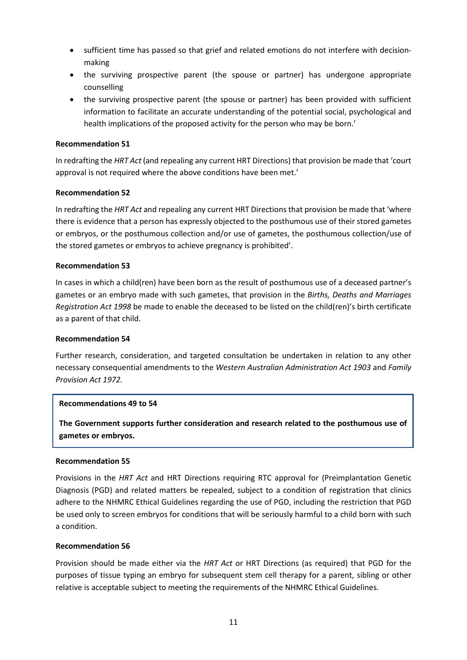- sufficient time has passed so that grief and related emotions do not interfere with decisionmaking
- the surviving prospective parent (the spouse or partner) has undergone appropriate counselling
- the surviving prospective parent (the spouse or partner) has been provided with sufficient information to facilitate an accurate understanding of the potential social, psychological and health implications of the proposed activity for the person who may be born.'

In redrafting the *HRT Act* (and repealing any current HRT Directions) that provision be made that 'court approval is not required where the above conditions have been met.'

## **Recommendation 52**

In redrafting the *HRT Act* and repealing any current HRT Directions that provision be made that 'where there is evidence that a person has expressly objected to the posthumous use of their stored gametes or embryos, or the posthumous collection and/or use of gametes, the posthumous collection/use of the stored gametes or embryos to achieve pregnancy is prohibited'.

## **Recommendation 53**

In cases in which a child(ren) have been born as the result of posthumous use of a deceased partner's gametes or an embryo made with such gametes, that provision in the *Births, Deaths and Marriages Registration Act 1998* be made to enable the deceased to be listed on the child(ren)'s birth certificate as a parent of that child.

### **Recommendation 54**

Further research, consideration, and targeted consultation be undertaken in relation to any other necessary consequential amendments to the *Western Australian Administration Act 1903* and *Family Provision Act 1972.*

### **Recommendations 49 to 54**

**The Government supports further consideration and research related to the posthumous use of gametes or embryos.** 

### **Recommendation 55**

Provisions in the *HRT Act* and HRT Directions requiring RTC approval for (Preimplantation Genetic Diagnosis (PGD) and related matters be repealed, subject to a condition of registration that clinics adhere to the NHMRC Ethical Guidelines regarding the use of PGD, including the restriction that PGD be used only to screen embryos for conditions that will be seriously harmful to a child born with such a condition.

### **Recommendation 56**

Provision should be made either via the *HRT Act* or HRT Directions (as required) that PGD for the purposes of tissue typing an embryo for subsequent stem cell therapy for a parent, sibling or other relative is acceptable subject to meeting the requirements of the NHMRC Ethical Guidelines.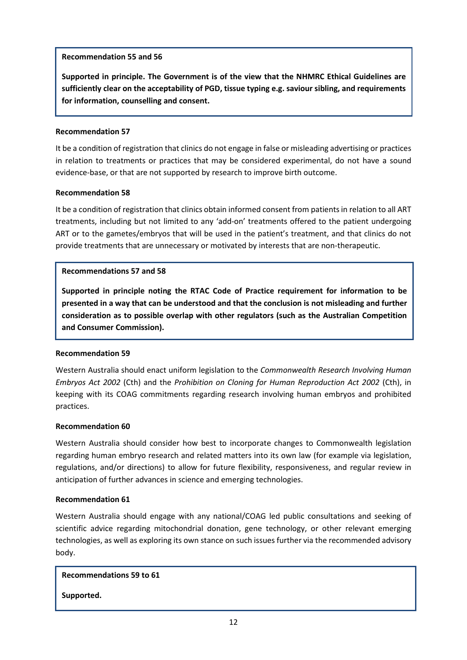## **Recommendation 55 and 56**

**Supported in principle. The Government is of the view that the NHMRC Ethical Guidelines are sufficiently clear on the acceptability of PGD, tissue typing e.g. saviour sibling, and requirements for information, counselling and consent.** 

## **Recommendation 57**

It be a condition of registration that clinics do not engage in false or misleading advertising or practices in relation to treatments or practices that may be considered experimental, do not have a sound evidence-base, or that are not supported by research to improve birth outcome.

## **Recommendation 58**

It be a condition of registration that clinics obtain informed consent from patients in relation to all ART treatments, including but not limited to any 'add-on' treatments offered to the patient undergoing ART or to the gametes/embryos that will be used in the patient's treatment, and that clinics do not provide treatments that are unnecessary or motivated by interests that are non-therapeutic.

## **Recommendations 57 and 58**

**Supported in principle noting the RTAC Code of Practice requirement for information to be presented in a way that can be understood and that the conclusion is not misleading and further consideration as to possible overlap with other regulators (such as the Australian Competition and Consumer Commission).** 

### **Recommendation 59**

Western Australia should enact uniform legislation to the *Commonwealth Research Involving Human Embryos Act 2002* (Cth) and the *Prohibition on Cloning for Human Reproduction Act 2002* (Cth), in keeping with its COAG commitments regarding research involving human embryos and prohibited practices.

## **Recommendation 60**

Western Australia should consider how best to incorporate changes to Commonwealth legislation regarding human embryo research and related matters into its own law (for example via legislation, regulations, and/or directions) to allow for future flexibility, responsiveness, and regular review in anticipation of further advances in science and emerging technologies.

### **Recommendation 61**

Western Australia should engage with any national/COAG led public consultations and seeking of scientific advice regarding mitochondrial donation, gene technology, or other relevant emerging technologies, as well as exploring its own stance on such issues further via the recommended advisory body.

**Recommendations 59 to 61**

**Supported.**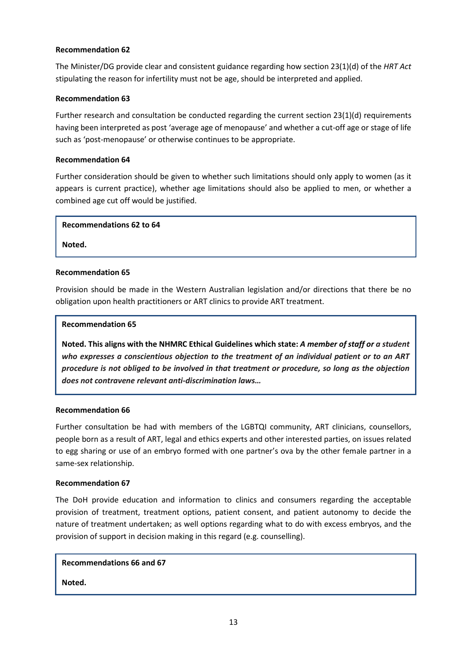The Minister/DG provide clear and consistent guidance regarding how section 23(1)(d) of the *HRT Act* stipulating the reason for infertility must not be age, should be interpreted and applied.

## **Recommendation 63**

Further research and consultation be conducted regarding the current section 23(1)(d) requirements having been interpreted as post 'average age of menopause' and whether a cut-off age or stage of life such as 'post-menopause' or otherwise continues to be appropriate.

## **Recommendation 64**

Further consideration should be given to whether such limitations should only apply to women (as it appears is current practice), whether age limitations should also be applied to men, or whether a combined age cut off would be justified.

### **Recommendations 62 to 64**

**Noted.** 

## **Recommendation 65**

Provision should be made in the Western Australian legislation and/or directions that there be no obligation upon health practitioners or ART clinics to provide ART treatment.

## **Recommendation 65**

**Noted. This aligns with the NHMRC Ethical Guidelines which state:** *A member of staff or a student who expresses a conscientious objection to the treatment of an individual patient or to an ART procedure is not obliged to be involved in that treatment or procedure, so long as the objection does not contravene relevant anti-discrimination laws…*

### **Recommendation 66**

Further consultation be had with members of the LGBTQI community, ART clinicians, counsellors, people born as a result of ART, legal and ethics experts and other interested parties, on issues related to egg sharing or use of an embryo formed with one partner's ova by the other female partner in a same-sex relationship.

### **Recommendation 67**

The DoH provide education and information to clinics and consumers regarding the acceptable provision of treatment, treatment options, patient consent, and patient autonomy to decide the nature of treatment undertaken; as well options regarding what to do with excess embryos, and the provision of support in decision making in this regard (e.g. counselling).

### **Recommendations 66 and 67**

**Noted.**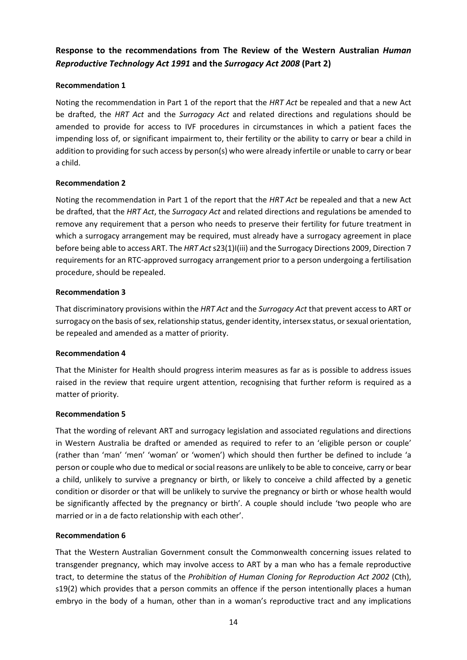# **Response to the recommendations from The Review of the Western Australian** *Human Reproductive Technology Act 1991* **and the** *Surrogacy Act 2008* **(Part 2)**

# **Recommendation 1**

Noting the recommendation in Part 1 of the report that the *HRT Act* be repealed and that a new Act be drafted, the *HRT Act* and the *Surrogacy Act* and related directions and regulations should be amended to provide for access to IVF procedures in circumstances in which a patient faces the impending loss of, or significant impairment to, their fertility or the ability to carry or bear a child in addition to providing for such access by person(s) who were already infertile or unable to carry or bear a child.

# **Recommendation 2**

Noting the recommendation in Part 1 of the report that the *HRT Act* be repealed and that a new Act be drafted, that the *HRT Act*, the *Surrogacy Act* and related directions and regulations be amended to remove any requirement that a person who needs to preserve their fertility for future treatment in which a surrogacy arrangement may be required, must already have a surrogacy agreement in place before being able to access ART. The *HRT Act* s23(1)I(iii) and the Surrogacy Directions 2009, Direction 7 requirements for an RTC-approved surrogacy arrangement prior to a person undergoing a fertilisation procedure, should be repealed.

# **Recommendation 3**

That discriminatory provisions within the *HRT Act* and the *Surrogacy Act* that prevent access to ART or surrogacy on the basis of sex, relationship status, gender identity, intersex status, or sexual orientation, be repealed and amended as a matter of priority.

# **Recommendation 4**

That the Minister for Health should progress interim measures as far as is possible to address issues raised in the review that require urgent attention, recognising that further reform is required as a matter of priority.

# **Recommendation 5**

That the wording of relevant ART and surrogacy legislation and associated regulations and directions in Western Australia be drafted or amended as required to refer to an 'eligible person or couple' (rather than 'man' 'men' 'woman' or 'women') which should then further be defined to include 'a person or couple who due to medical or social reasons are unlikely to be able to conceive, carry or bear a child, unlikely to survive a pregnancy or birth, or likely to conceive a child affected by a genetic condition or disorder or that will be unlikely to survive the pregnancy or birth or whose health would be significantly affected by the pregnancy or birth'. A couple should include 'two people who are married or in a de facto relationship with each other'.

# **Recommendation 6**

That the Western Australian Government consult the Commonwealth concerning issues related to transgender pregnancy, which may involve access to ART by a man who has a female reproductive tract, to determine the status of the *Prohibition of Human Cloning for Reproduction Act 2002* (Cth), s19(2) which provides that a person commits an offence if the person intentionally places a human embryo in the body of a human, other than in a woman's reproductive tract and any implications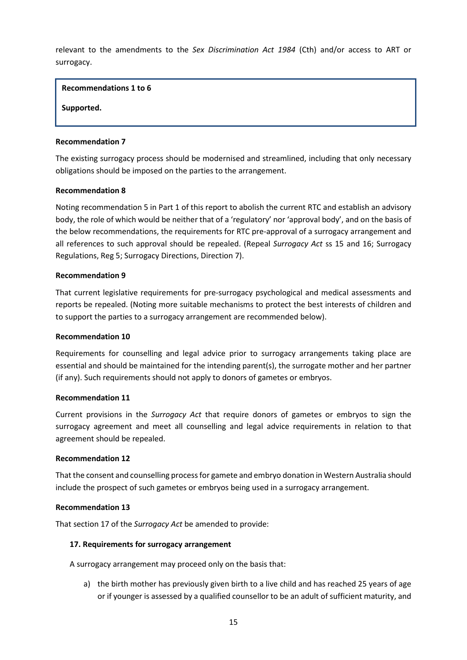relevant to the amendments to the *Sex Discrimination Act 1984* (Cth) and/or access to ART or surrogacy.

**Recommendations 1 to 6**

**Supported.** 

### **Recommendation 7**

The existing surrogacy process should be modernised and streamlined, including that only necessary obligations should be imposed on the parties to the arrangement.

### **Recommendation 8**

Noting recommendation 5 in Part 1 of this report to abolish the current RTC and establish an advisory body, the role of which would be neither that of a 'regulatory' nor 'approval body', and on the basis of the below recommendations, the requirements for RTC pre-approval of a surrogacy arrangement and all references to such approval should be repealed. (Repeal *Surrogacy Act* ss 15 and 16; Surrogacy Regulations, Reg 5; Surrogacy Directions, Direction 7).

### **Recommendation 9**

That current legislative requirements for pre-surrogacy psychological and medical assessments and reports be repealed. (Noting more suitable mechanisms to protect the best interests of children and to support the parties to a surrogacy arrangement are recommended below).

### **Recommendation 10**

Requirements for counselling and legal advice prior to surrogacy arrangements taking place are essential and should be maintained for the intending parent(s), the surrogate mother and her partner (if any). Such requirements should not apply to donors of gametes or embryos.

### **Recommendation 11**

Current provisions in the *Surrogacy Act* that require donors of gametes or embryos to sign the surrogacy agreement and meet all counselling and legal advice requirements in relation to that agreement should be repealed.

## **Recommendation 12**

That the consent and counselling process for gamete and embryo donation in Western Australia should include the prospect of such gametes or embryos being used in a surrogacy arrangement.

### **Recommendation 13**

That section 17 of the *Surrogacy Act* be amended to provide:

### **17. Requirements for surrogacy arrangement**

A surrogacy arrangement may proceed only on the basis that:

a) the birth mother has previously given birth to a live child and has reached 25 years of age or if younger is assessed by a qualified counsellor to be an adult of sufficient maturity, and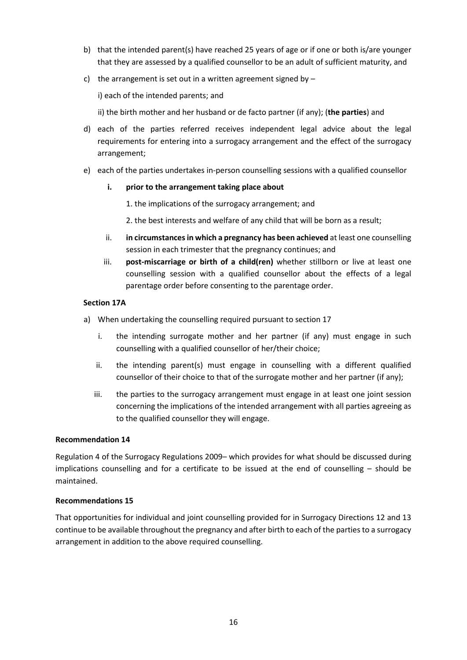- b) that the intended parent(s) have reached 25 years of age or if one or both is/are younger that they are assessed by a qualified counsellor to be an adult of sufficient maturity, and
- c) the arrangement is set out in a written agreement signed by  $-$

i) each of the intended parents; and

ii) the birth mother and her husband or de facto partner (if any); (**the parties**) and

- d) each of the parties referred receives independent legal advice about the legal requirements for entering into a surrogacy arrangement and the effect of the surrogacy arrangement;
- e) each of the parties undertakes in-person counselling sessions with a qualified counsellor

### **i. prior to the arrangement taking place about**

- 1. the implications of the surrogacy arrangement; and
- 2. the best interests and welfare of any child that will be born as a result;
- ii. **in circumstances in which a pregnancy has been achieved** at least one counselling session in each trimester that the pregnancy continues; and
- iii. **post-miscarriage or birth of a child(ren)** whether stillborn or live at least one counselling session with a qualified counsellor about the effects of a legal parentage order before consenting to the parentage order.

### **Section 17A**

- a) When undertaking the counselling required pursuant to section 17
	- i. the intending surrogate mother and her partner (if any) must engage in such counselling with a qualified counsellor of her/their choice;
	- ii. the intending parent(s) must engage in counselling with a different qualified counsellor of their choice to that of the surrogate mother and her partner (if any);
	- iii. the parties to the surrogacy arrangement must engage in at least one joint session concerning the implications of the intended arrangement with all parties agreeing as to the qualified counsellor they will engage.

### **Recommendation 14**

Regulation 4 of the Surrogacy Regulations 2009– which provides for what should be discussed during implications counselling and for a certificate to be issued at the end of counselling – should be maintained.

### **Recommendations 15**

That opportunities for individual and joint counselling provided for in Surrogacy Directions 12 and 13 continue to be available throughout the pregnancy and after birth to each of the parties to a surrogacy arrangement in addition to the above required counselling.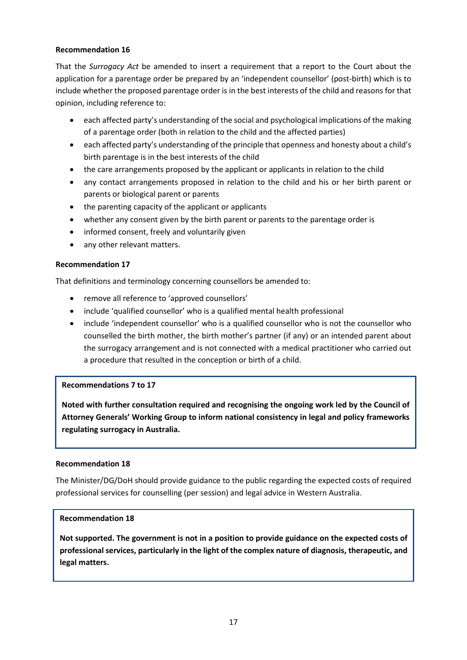That the *Surrogacy Act* be amended to insert a requirement that a report to the Court about the application for a parentage order be prepared by an 'independent counsellor' (post-birth) which is to include whether the proposed parentage order is in the best interests of the child and reasons for that opinion, including reference to:

- each affected party's understanding of the social and psychological implications of the making of a parentage order (both in relation to the child and the affected parties)
- each affected party's understanding of the principle that openness and honesty about a child's birth parentage is in the best interests of the child
- the care arrangements proposed by the applicant or applicants in relation to the child
- any contact arrangements proposed in relation to the child and his or her birth parent or parents or biological parent or parents
- the parenting capacity of the applicant or applicants
- whether any consent given by the birth parent or parents to the parentage order is
- informed consent, freely and voluntarily given
- any other relevant matters.

## **Recommendation 17**

That definitions and terminology concerning counsellors be amended to:

- remove all reference to 'approved counsellors'
- include 'qualified counsellor' who is a qualified mental health professional
- include 'independent counsellor' who is a qualified counsellor who is not the counsellor who counselled the birth mother, the birth mother's partner (if any) or an intended parent about the surrogacy arrangement and is not connected with a medical practitioner who carried out a procedure that resulted in the conception or birth of a child.

# **Recommendations 7 to 17**

**Noted with further consultation required and recognising the ongoing work led by the Council of Attorney Generals' Working Group to inform national consistency in legal and policy frameworks regulating surrogacy in Australia.**

### **Recommendation 18**

The Minister/DG/DoH should provide guidance to the public regarding the expected costs of required professional services for counselling (per session) and legal advice in Western Australia.

### **Recommendation 18**

**Not supported. The government is not in a position to provide guidance on the expected costs of professional services, particularly in the light of the complex nature of diagnosis, therapeutic, and legal matters.**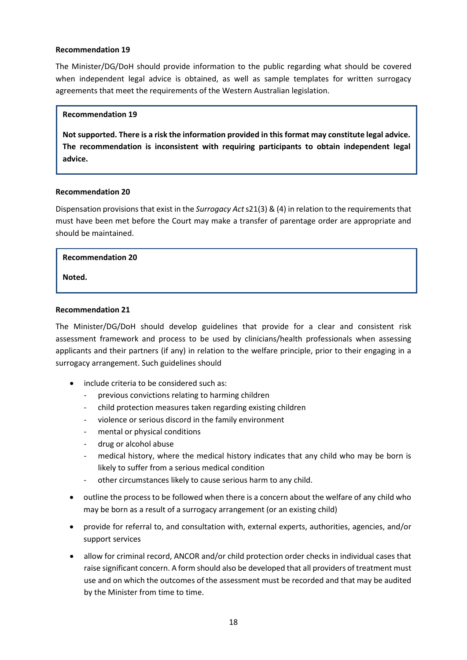The Minister/DG/DoH should provide information to the public regarding what should be covered when independent legal advice is obtained, as well as sample templates for written surrogacy agreements that meet the requirements of the Western Australian legislation.

### **Recommendation 19**

**Not supported. There is a risk the information provided in this format may constitute legal advice. The recommendation is inconsistent with requiring participants to obtain independent legal advice.** 

### **Recommendation 20**

Dispensation provisions that exist in the *Surrogacy Act* s21(3) & (4) in relation to the requirements that must have been met before the Court may make a transfer of parentage order are appropriate and should be maintained.

### **Recommendation 20**

**Noted.**

### **Recommendation 21**

The Minister/DG/DoH should develop guidelines that provide for a clear and consistent risk assessment framework and process to be used by clinicians/health professionals when assessing applicants and their partners (if any) in relation to the welfare principle, prior to their engaging in a surrogacy arrangement. Such guidelines should

- include criteria to be considered such as:
	- previous convictions relating to harming children
	- child protection measures taken regarding existing children
	- violence or serious discord in the family environment
	- mental or physical conditions
	- drug or alcohol abuse
	- medical history, where the medical history indicates that any child who may be born is likely to suffer from a serious medical condition
	- other circumstances likely to cause serious harm to any child.
- outline the process to be followed when there is a concern about the welfare of any child who may be born as a result of a surrogacy arrangement (or an existing child)
- provide for referral to, and consultation with, external experts, authorities, agencies, and/or support services
- allow for criminal record, ANCOR and/or child protection order checks in individual cases that raise significant concern. A form should also be developed that all providers of treatment must use and on which the outcomes of the assessment must be recorded and that may be audited by the Minister from time to time.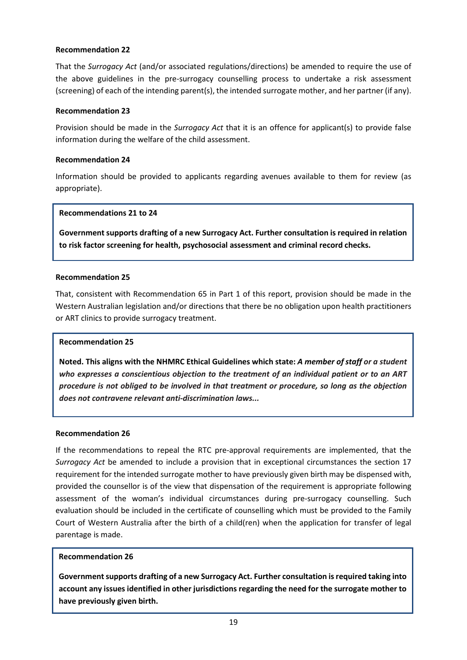That the *Surrogacy Act* (and/or associated regulations/directions) be amended to require the use of the above guidelines in the pre-surrogacy counselling process to undertake a risk assessment (screening) of each of the intending parent(s), the intended surrogate mother, and her partner (if any).

### **Recommendation 23**

Provision should be made in the *Surrogacy Act* that it is an offence for applicant(s) to provide false information during the welfare of the child assessment.

## **Recommendation 24**

Information should be provided to applicants regarding avenues available to them for review (as appropriate).

## **Recommendations 21 to 24**

**Government supports drafting of a new Surrogacy Act. Further consultation is required in relation to risk factor screening for health, psychosocial assessment and criminal record checks.**

## **Recommendation 25**

That, consistent with Recommendation 65 in Part 1 of this report, provision should be made in the Western Australian legislation and/or directions that there be no obligation upon health practitioners or ART clinics to provide surrogacy treatment.

### **Recommendation 25**

**Noted. This aligns with the NHMRC Ethical Guidelines which state:** *A member of staff or a student who expresses a conscientious objection to the treatment of an individual patient or to an ART procedure is not obliged to be involved in that treatment or procedure, so long as the objection does not contravene relevant anti-discrimination laws...*

### **Recommendation 26**

If the recommendations to repeal the RTC pre-approval requirements are implemented, that the *Surrogacy Act* be amended to include a provision that in exceptional circumstances the section 17 requirement for the intended surrogate mother to have previously given birth may be dispensed with, provided the counsellor is of the view that dispensation of the requirement is appropriate following assessment of the woman's individual circumstances during pre-surrogacy counselling. Such evaluation should be included in the certificate of counselling which must be provided to the Family Court of Western Australia after the birth of a child(ren) when the application for transfer of legal parentage is made.

### **Recommendation 26**

**Government supports drafting of a new Surrogacy Act. Further consultation is required taking into account any issues identified in other jurisdictions regarding the need for the surrogate mother to have previously given birth.**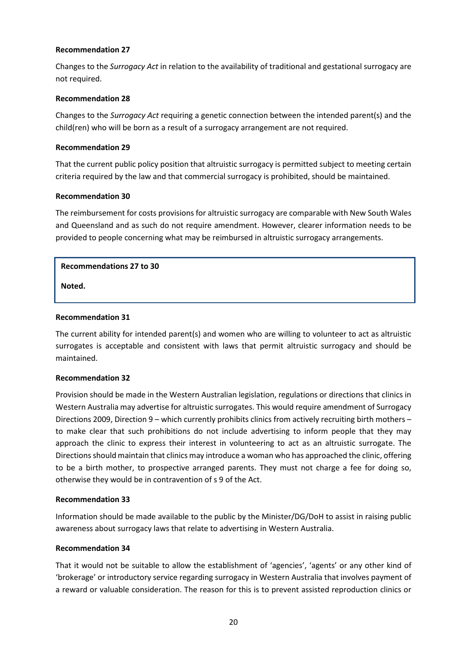Changes to the *Surrogacy Act* in relation to the availability of traditional and gestational surrogacy are not required.

## **Recommendation 28**

Changes to the *Surrogacy Act* requiring a genetic connection between the intended parent(s) and the child(ren) who will be born as a result of a surrogacy arrangement are not required.

## **Recommendation 29**

That the current public policy position that altruistic surrogacy is permitted subject to meeting certain criteria required by the law and that commercial surrogacy is prohibited, should be maintained.

## **Recommendation 30**

The reimbursement for costs provisions for altruistic surrogacy are comparable with New South Wales and Queensland and as such do not require amendment. However, clearer information needs to be provided to people concerning what may be reimbursed in altruistic surrogacy arrangements.

## **Recommendations 27 to 30**

**Noted.** 

## **Recommendation 31**

The current ability for intended parent(s) and women who are willing to volunteer to act as altruistic surrogates is acceptable and consistent with laws that permit altruistic surrogacy and should be maintained.

### **Recommendation 32**

Provision should be made in the Western Australian legislation, regulations or directions that clinics in Western Australia may advertise for altruistic surrogates. This would require amendment of Surrogacy Directions 2009, Direction 9 – which currently prohibits clinics from actively recruiting birth mothers – to make clear that such prohibitions do not include advertising to inform people that they may approach the clinic to express their interest in volunteering to act as an altruistic surrogate. The Directionsshould maintain that clinics may introduce a woman who has approached the clinic, offering to be a birth mother, to prospective arranged parents. They must not charge a fee for doing so, otherwise they would be in contravention of s 9 of the Act.

### **Recommendation 33**

Information should be made available to the public by the Minister/DG/DoH to assist in raising public awareness about surrogacy laws that relate to advertising in Western Australia.

# **Recommendation 34**

That it would not be suitable to allow the establishment of 'agencies', 'agents' or any other kind of 'brokerage' or introductory service regarding surrogacy in Western Australia that involves payment of a reward or valuable consideration. The reason for this is to prevent assisted reproduction clinics or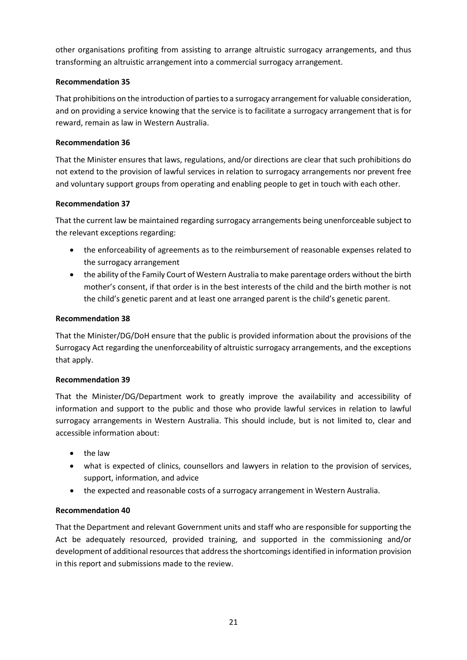other organisations profiting from assisting to arrange altruistic surrogacy arrangements, and thus transforming an altruistic arrangement into a commercial surrogacy arrangement.

# **Recommendation 35**

That prohibitions on the introduction of parties to a surrogacy arrangement for valuable consideration, and on providing a service knowing that the service is to facilitate a surrogacy arrangement that is for reward, remain as law in Western Australia.

# **Recommendation 36**

That the Minister ensures that laws, regulations, and/or directions are clear that such prohibitions do not extend to the provision of lawful services in relation to surrogacy arrangements nor prevent free and voluntary support groups from operating and enabling people to get in touch with each other.

# **Recommendation 37**

That the current law be maintained regarding surrogacy arrangements being unenforceable subject to the relevant exceptions regarding:

- the enforceability of agreements as to the reimbursement of reasonable expenses related to the surrogacy arrangement
- the ability of the Family Court of Western Australia to make parentage orders without the birth mother's consent, if that order is in the best interests of the child and the birth mother is not the child's genetic parent and at least one arranged parent is the child's genetic parent.

# **Recommendation 38**

That the Minister/DG/DoH ensure that the public is provided information about the provisions of the Surrogacy Act regarding the unenforceability of altruistic surrogacy arrangements, and the exceptions that apply.

# **Recommendation 39**

That the Minister/DG/Department work to greatly improve the availability and accessibility of information and support to the public and those who provide lawful services in relation to lawful surrogacy arrangements in Western Australia. This should include, but is not limited to, clear and accessible information about:

- the law
- what is expected of clinics, counsellors and lawyers in relation to the provision of services, support, information, and advice
- the expected and reasonable costs of a surrogacy arrangement in Western Australia.

# **Recommendation 40**

That the Department and relevant Government units and staff who are responsible for supporting the Act be adequately resourced, provided training, and supported in the commissioning and/or development of additional resources that address the shortcomings identified in information provision in this report and submissions made to the review.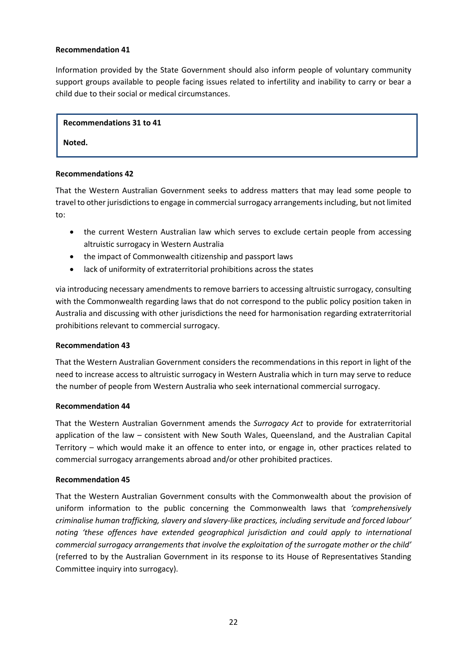Information provided by the State Government should also inform people of voluntary community support groups available to people facing issues related to infertility and inability to carry or bear a child due to their social or medical circumstances.

### **Recommendations 31 to 41**

### **Noted.**

### **Recommendations 42**

That the Western Australian Government seeks to address matters that may lead some people to travel to other jurisdictions to engage in commercial surrogacy arrangementsincluding, but not limited to:

- the current Western Australian law which serves to exclude certain people from accessing altruistic surrogacy in Western Australia
- the impact of Commonwealth citizenship and passport laws
- lack of uniformity of extraterritorial prohibitions across the states

via introducing necessary amendments to remove barriers to accessing altruistic surrogacy, consulting with the Commonwealth regarding laws that do not correspond to the public policy position taken in Australia and discussing with other jurisdictions the need for harmonisation regarding extraterritorial prohibitions relevant to commercial surrogacy.

### **Recommendation 43**

That the Western Australian Government considers the recommendations in this report in light of the need to increase access to altruistic surrogacy in Western Australia which in turn may serve to reduce the number of people from Western Australia who seek international commercial surrogacy.

### **Recommendation 44**

That the Western Australian Government amends the *Surrogacy Act* to provide for extraterritorial application of the law – consistent with New South Wales, Queensland, and the Australian Capital Territory – which would make it an offence to enter into, or engage in, other practices related to commercial surrogacy arrangements abroad and/or other prohibited practices.

### **Recommendation 45**

That the Western Australian Government consults with the Commonwealth about the provision of uniform information to the public concerning the Commonwealth laws that *'comprehensively criminalise human trafficking, slavery and slavery-like practices, including servitude and forced labour' noting 'these offences have extended geographical jurisdiction and could apply to international commercial surrogacy arrangements that involve the exploitation of the surrogate mother or the child'* (referred to by the Australian Government in its response to its House of Representatives Standing Committee inquiry into surrogacy).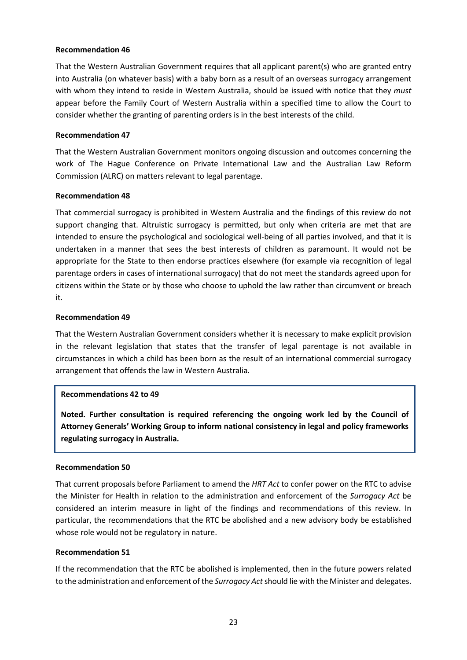That the Western Australian Government requires that all applicant parent(s) who are granted entry into Australia (on whatever basis) with a baby born as a result of an overseas surrogacy arrangement with whom they intend to reside in Western Australia, should be issued with notice that they *must*  appear before the Family Court of Western Australia within a specified time to allow the Court to consider whether the granting of parenting orders is in the best interests of the child.

## **Recommendation 47**

That the Western Australian Government monitors ongoing discussion and outcomes concerning the work of The Hague Conference on Private International Law and the Australian Law Reform Commission (ALRC) on matters relevant to legal parentage.

## **Recommendation 48**

That commercial surrogacy is prohibited in Western Australia and the findings of this review do not support changing that. Altruistic surrogacy is permitted, but only when criteria are met that are intended to ensure the psychological and sociological well-being of all parties involved, and that it is undertaken in a manner that sees the best interests of children as paramount. It would not be appropriate for the State to then endorse practices elsewhere (for example via recognition of legal parentage orders in cases of international surrogacy) that do not meet the standards agreed upon for citizens within the State or by those who choose to uphold the law rather than circumvent or breach it.

## **Recommendation 49**

That the Western Australian Government considers whether it is necessary to make explicit provision in the relevant legislation that states that the transfer of legal parentage is not available in circumstances in which a child has been born as the result of an international commercial surrogacy arrangement that offends the law in Western Australia.

### **Recommendations 42 to 49**

**Noted. Further consultation is required referencing the ongoing work led by the Council of Attorney Generals' Working Group to inform national consistency in legal and policy frameworks regulating surrogacy in Australia.**

### **Recommendation 50**

That current proposals before Parliament to amend the *HRT Act* to confer power on the RTC to advise the Minister for Health in relation to the administration and enforcement of the *Surrogacy Act* be considered an interim measure in light of the findings and recommendations of this review. In particular, the recommendations that the RTC be abolished and a new advisory body be established whose role would not be regulatory in nature.

### **Recommendation 51**

If the recommendation that the RTC be abolished is implemented, then in the future powers related to the administration and enforcement of the *Surrogacy Act*should lie with the Minister and delegates.